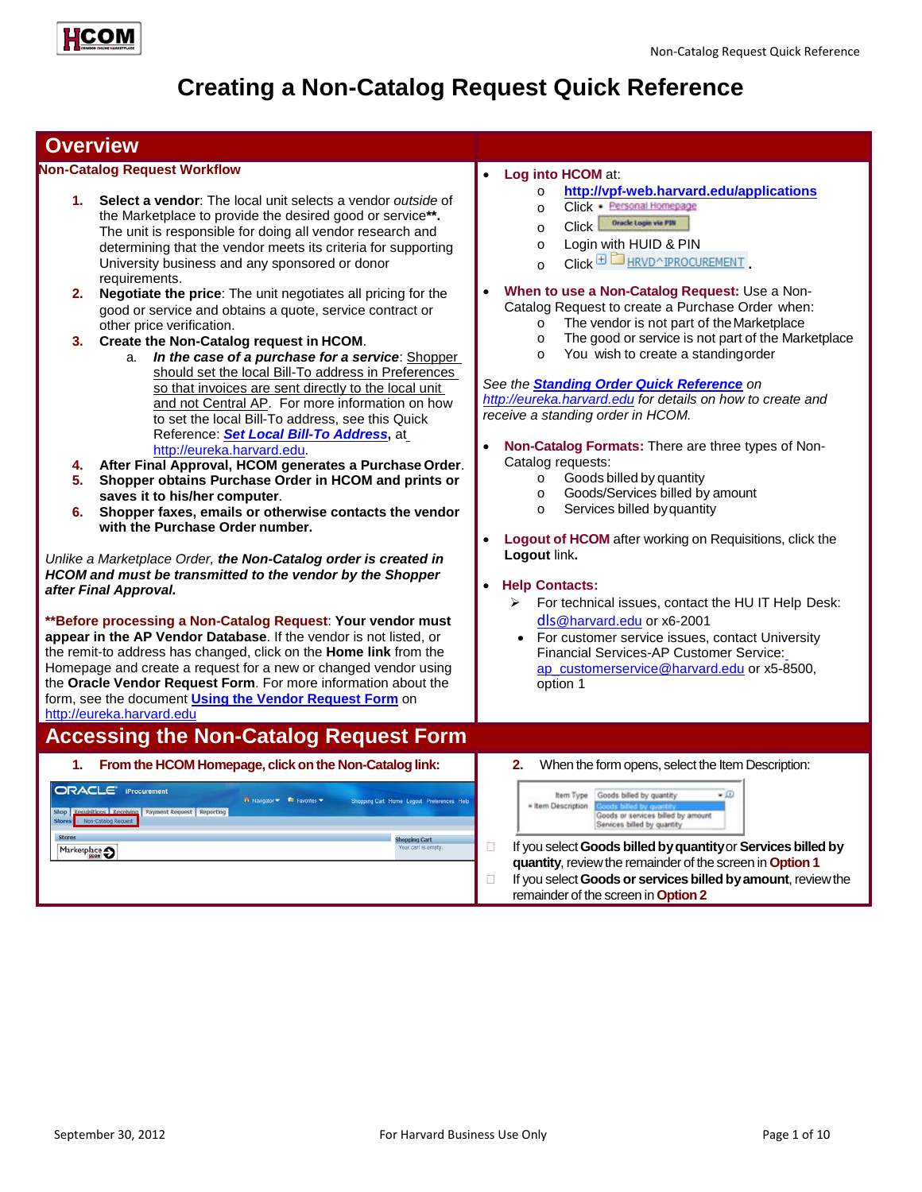

# **Creating a Non-Catalog Request Quick Reference**

## **Overview**

#### **Non-Catalog Request Workflow**

- **1. Select a vendor**: The local unit selects a vendor *outside* of the Marketplace to provide the desired good or service**\*\*.**  The unit is responsible for doing all vendor research and determining that the vendor meets its criteria for supporting University business and any sponsored or donor requirements.
- **2. Negotiate the price**: The unit negotiates all pricing for the good or service and obtains a quote, service contract or other price verification.
- **3. Create the Non-Catalog request in HCOM**.
	- a. *In the case of a purchase for a service*: Shopper should set the local Bill-To address in Preferences so that invoices are sent directly to the local unit and not Central AP. For more information on how to set the local Bill-To address, see this Quick Reference: *[Set Local Bill-To Address](http://eureka.harvard.edu/eureka/getDocument.cfm?id=659&sAppID=6)***,** a[t](http://eureka.harvard.edu/) [http://eureka.harvard.edu.](http://eureka.harvard.edu/)
- **4. After Final Approval, HCOM generates a Purchase Order**.
- **5. Shopper obtains Purchase Order in HCOM and prints or saves it to his/her computer**.
- **6. Shopper faxes, emails or otherwise contacts the vendor with the Purchase Order number.**

*Unlike a Marketplace Order, the Non-Catalog order is created in HCOM and must be transmitted to the vendor by the Shopper after Final Approval.*

**\*\*Before processing a Non-Catalog Request**: **Your vendor must appear in the AP Vendor Database**. If the vendor is not listed, or the remit-to address has changed, click on the **Home link** from the Homepage and create a request for a new or changed vendor using the **Oracle Vendor Request Form**. For more information about the form, see the document **[Using the Vendor Request Form](http://eureka.harvard.edu/eureka/getDocument.cfm?id=892&sAppID=6)** on [http://eureka.harvard.edu](http://eureka.harvard.edu/)

## **Accessing the Non-Catalog Request Form**

#### • **Log into HCOM** at: o **<http://vpf-web.harvard.edu/applications>**

- o Click · Personal Homepage
- O Click **Oracle Login via P3N**
- o Login with HUID & PIN
- 
- Click **BL** HRVD^IPROCUREMENT
- **When to use a Non-Catalog Request:** Use a Non-Catalog Request to create a Purchase Order when:
	- o The vendor is not part of the Marketplace<br>
	The good or service is not part of the Mark
	- $\circ$  The good or service is not part of the Marketplace<br> $\circ$  You wish to create a standing order
	- You wish to create a standingorder

*See the [Standing Order Quick Reference](http://eureka.harvard.edu/eureka/getDocument.cfm?id=657&sAppID=6) on [http://eureka.harvard.edu](http://eureka.harvard.edu/) for details on how to create and receive a standing order in HCOM.*

- **Non-Catalog Formats:** There are three types of Non-Catalog requests:
	-
	- o Goods billed by quantity<br>
	Goods/Services billed by Goods/Services billed by amount
	- o Services billed byquantity
- **Logout of HCOM** after working on Requisitions, click the **Logout** link**.**

#### • **Help Contacts:**

- $\triangleright$  For technical issues, contact the HU IT Help Desk: dls[@harvard.edu](mailto:dls@harvard.edu) or x6-2001
- For customer service issues, contact University Financial Services-AP Customer Service: [ap\\_customerservice@harvard.edu](mailto:ap_customerservice@harvard.edu) or x5-8500, option 1

| From the HCOM Homepage, click on the Non-Catalog link: | When the form opens, select the Item Description:<br>2.      |
|--------------------------------------------------------|--------------------------------------------------------------|
| <b>ORACLE IProcurement</b>                             | Goods billed by quantity                                     |
| <b>n</b> Navigator <b>R</b> Favorites                  | $-10$                                                        |
| Shopping Cart Home Logout Preferences Help             | hem Type                                                     |
| Requisitions Receiving Payment Request Reporting       | * Item Description                                           |
| Shop                                                   | Goods billed by quantity                                     |
| Non-Catalog Request                                    | Goods or services billed by amount                           |
| <b>Stores</b>                                          | Senices billed by quantity                                   |
| <b>Stores</b>                                          | If you select Goods billed by quantity or Services billed by |
| Shopping Cart                                          | quantity, review the remainder of the screen in Option 1     |
| Your cart is empty.                                    | If you select Goods or services billed by amount, review the |
| Marketplace <a></a>                                    | remainder of the screen in Option 2                          |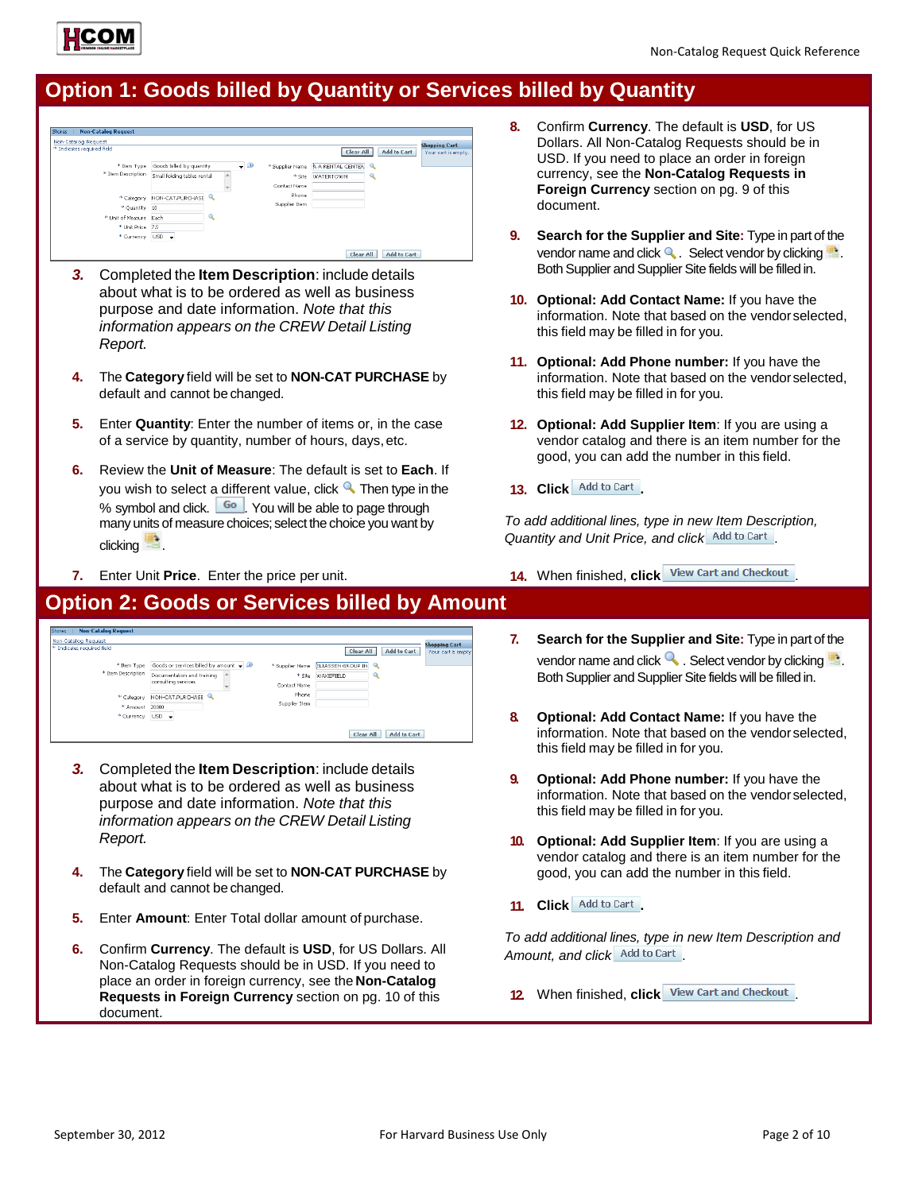# **Option 1: Goods billed by Quantity or Services billed by Quantity**



- default and cannot bechanged.
- **5.** Enter **Quantity**: Enter the number of items or, in the case of a service by quantity, number of hours, days,etc.
- **6.** Review the **Unit of Measure**: The default is set to **Each**. If you wish to select a different value, click  $\triangle$  Then type in the % symbol and click.  $\boxed{60}$ . You will be able to page through many units of measure choices; select the choice you want by clicking **...**
- **7.** Enter Unit **Price**. Enter the price per unit.

## **Option 2: Goods or Services billed by Amount**

| <b>Non-Catalog Request</b><br><b>Zeros</b> |                                               |                 |                       |                    |                      |
|--------------------------------------------|-----------------------------------------------|-----------------|-----------------------|--------------------|----------------------|
| Von-Catalog Request                        |                                               |                 |                       |                    | <b>Shopping Cart</b> |
| <sup>*</sup> Indicates required field      |                                               |                 | Clear All             | <b>Add to Cart</b> | Your cart is empty.  |
| * Item Type                                | Goods or services billed by amount $\sqrt{D}$ | * Supplier Name | ELIASSEN GROUP IN     |                    |                      |
| * Item Description                         | Documentation and training                    | * Site          | <b>WAKEFIELD</b><br>a |                    |                      |
|                                            | consulting services                           | Contact Name    |                       |                    |                      |
| * Category                                 | NON-CAT.PURCHASE                              | Phone           |                       |                    |                      |
| * Amount                                   | 20000                                         | Supplier Item   |                       |                    |                      |
| * Currency                                 | $USD - \rightarrow$                           |                 |                       |                    |                      |
|                                            |                                               |                 |                       |                    |                      |
|                                            |                                               |                 | Clear All             | <b>Add to Cart</b> |                      |

- *3.* Completed the **Item Description**: include details about what is to be ordered as well as business purpose and date information. *Note that this information appears on the CREW Detail Listing Report.*
- **4.** The **Category** field will be set to **NON-CAT PURCHASE** by default and cannot be changed.
- **5.** Enter **Amount**: Enter Total dollar amount of purchase.
- **6.** Confirm **Currency**. The default is **USD**, for US Dollars. All Non-Catalog Requests should be in USD. If you need to place an order in foreign currency, see the **Non-Catalog Requests in Foreign Currency** section on pg. 10 of this document.
- **8.** Confirm **Currency**. The default is **USD**, for US Dollars. All Non-Catalog Requests should be in USD. If you need to place an order in foreign currency, see the **Non-Catalog Requests in Foreign Currency** section on pg. 9 of this document.
- **9. Search for the Supplier and Site:** Type in part of the vendor name and click  $\mathbb Q$ . Select vendor by clicking  $\mathbb P$ . Both Supplier and Supplier Site fields will be filled in.
- **10. Optional: Add Contact Name:** If you have the information. Note that based on the vendorselected, this field may be filled in for you.
- **11. Optional: Add Phone number:** If you have the information. Note that based on the vendorselected, this field may be filled in for you.
- **12. Optional: Add Supplier Item**: If you are using a vendor catalog and there is an item number for the good, you can add the number in this field.
- 13. Click **Add to Cart**.

*To add additional lines, type in new Item Description,*  **Quantity and Unit Price, and click** Add to Cart.

- **14.** When finished, **click** View Cart and Checkout
- **7. Search for the Supplier and Site:** Type in part of the vendor name and click  $\sim$ . Select vendor by clicking  $\blacktriangleright$ . Both Supplier and Supplier Site fields will be filled in.
- **8. Optional: Add Contact Name:** If you have the information. Note that based on the vendorselected, this field may be filled in for you.
- **9. Optional: Add Phone number:** If you have the information. Note that based on the vendorselected, this field may be filled in for you.
- **10. Optional: Add Supplier Item**: If you are using a vendor catalog and there is an item number for the good, you can add the number in this field.
- 11. **Click Add to Cart**

*To add additional lines, type in new Item Description and*  Amount, and click Add to Cart

**12.** When finished, **click** View Cart and Checkout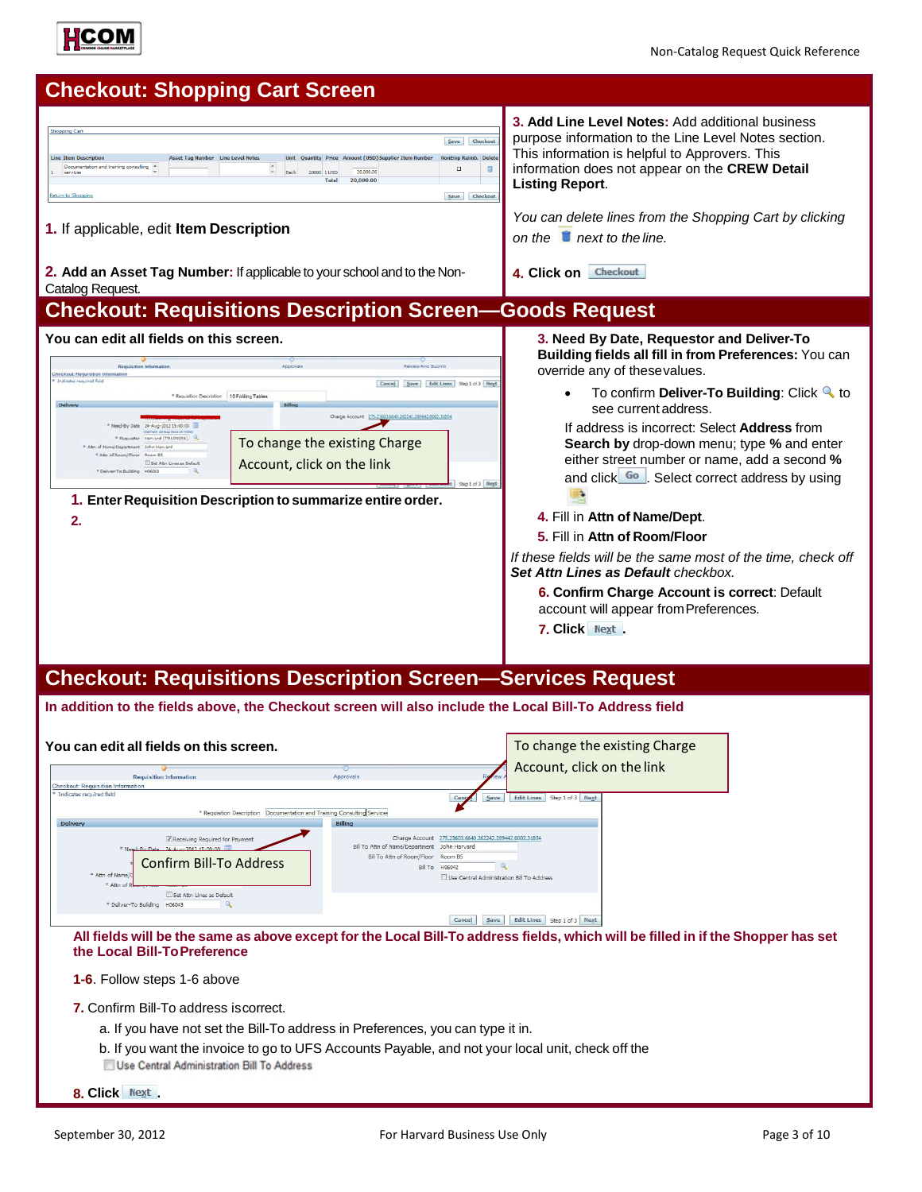



| You can edit all fields on this screen.                                                                                                                                                                    |                                                                                                      |                                                                                                                               | To change the existing Charge         |
|------------------------------------------------------------------------------------------------------------------------------------------------------------------------------------------------------------|------------------------------------------------------------------------------------------------------|-------------------------------------------------------------------------------------------------------------------------------|---------------------------------------|
| <b>Requisition Information</b><br><b>Checkout: Requisition Information</b>                                                                                                                                 | Approvals                                                                                            |                                                                                                                               | Account, click on the link            |
| * Indicates required field<br>* Requisition Description                                                                                                                                                    | Documentation and Training Consulting Services                                                       | Save<br>Cance                                                                                                                 | Step 1 of 3 Next<br><b>Edit Lines</b> |
| Delivery<br>Receiving Required for Payment<br>* Need-By Date 24-Aug-2012 15:00:00<br>Confirm Bill-To Address<br>* Attn of Name/D<br>* Attn of<br>Set Attn Lines as Default<br>* Deliver-To Building H06043 | <b>Billing</b><br>Bill To Attn of Name/Department John Harvard<br>Bill To Attn of Room/Floor Room B5 | Charge Account 275.23603.6640.262242.289442.0002.31854<br><b>Bill To H06042</b><br>Use Central Administration Bill To Address |                                       |
|                                                                                                                                                                                                            |                                                                                                      | Cancel<br>Save                                                                                                                | <b>Edit Lines</b><br>Step 1 of 3 Next |

All tields will be the same as above except for the Local Bill-To address fields, which will be filled in if the Shopper has set **the Local Bill-ToPreference**

#### **1-6**. Follow steps 1-6 above

- **7.** Confirm Bill-To address iscorrect.
	- a. If you have not set the Bill-To address in Preferences, you can type it in.
	- b. If you want the invoice to go to UFS Accounts Payable, and not your local unit, check off the
	- Use Central Administration Bill To Address
- **8. Click .**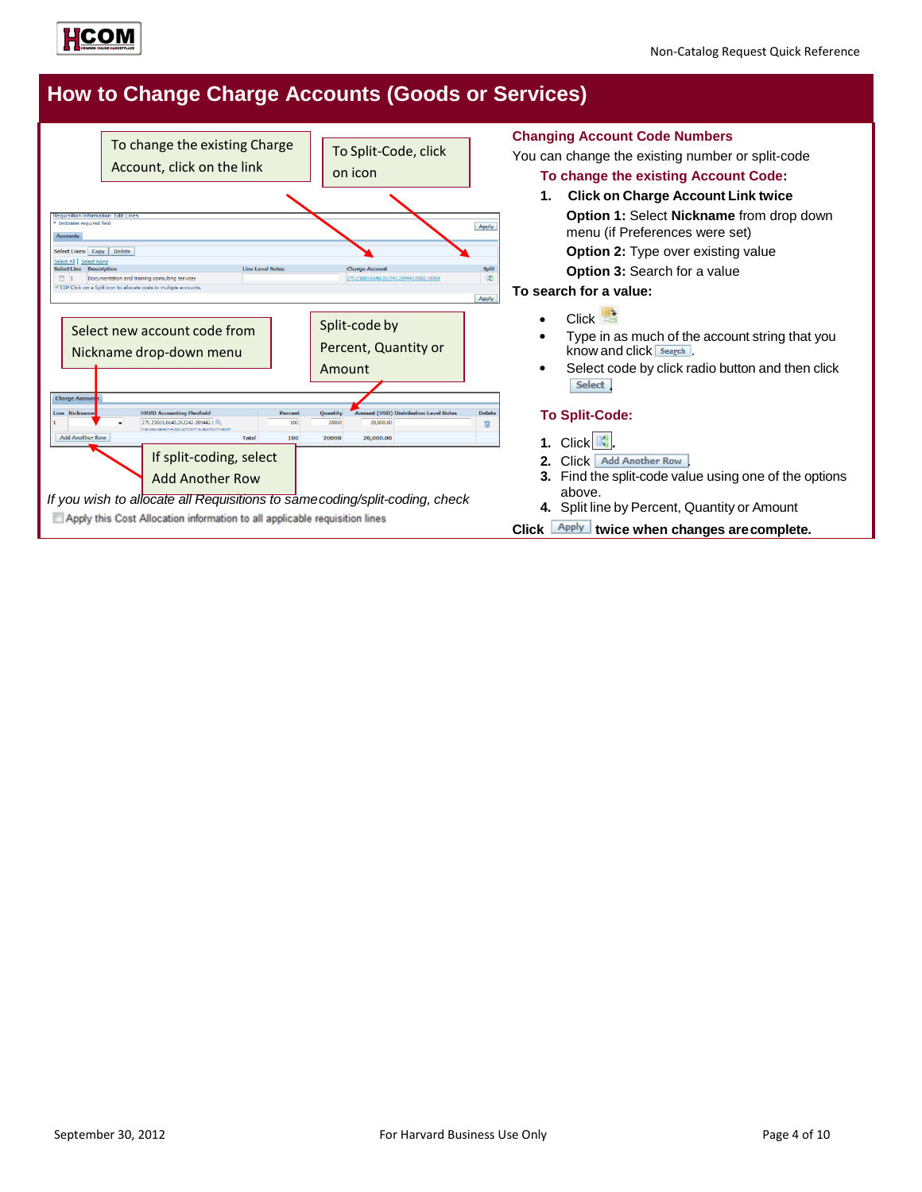![](_page_3_Picture_0.jpeg)

## **How to Change Charge Accounts (Goods or Services)**

![](_page_3_Figure_3.jpeg)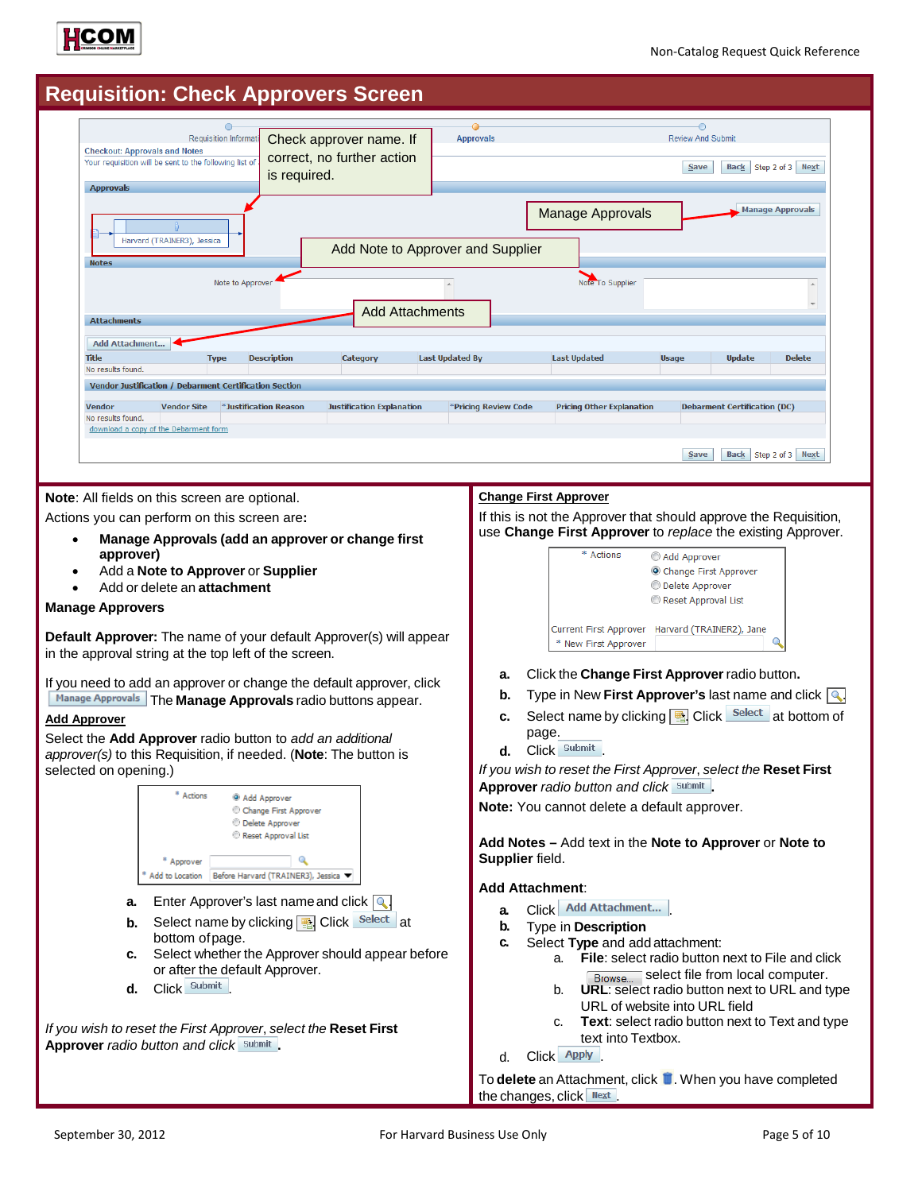![](_page_4_Picture_0.jpeg)

## **Requisition: Check Approvers Screen**

| $\bigcirc$<br><b>Requisition Informat</b><br><b>Checkout: Approvals and Notes</b>                                                                                                                                                                                                                      | Check approver name. If                                     | <b>Approvals</b>                               |                                                                                                                                              | <b>Review And Submit</b>                                                        |                                                      |                         |
|--------------------------------------------------------------------------------------------------------------------------------------------------------------------------------------------------------------------------------------------------------------------------------------------------------|-------------------------------------------------------------|------------------------------------------------|----------------------------------------------------------------------------------------------------------------------------------------------|---------------------------------------------------------------------------------|------------------------------------------------------|-------------------------|
| Your requisition will be sent to the following list of<br>is required.<br><b>Approvals</b>                                                                                                                                                                                                             | correct, no further action                                  |                                                |                                                                                                                                              | <b>Save</b>                                                                     |                                                      | Back Step 2 of 3 Next   |
| Harvard (TRAINER3), Jessica<br><b>Notes</b><br>Note to Approver                                                                                                                                                                                                                                        | Add Note to Approver and Supplier<br><b>Add Attachments</b> |                                                | <b>Manage Approvals</b><br>Note To Supplier                                                                                                  |                                                                                 |                                                      | <b>Manage Approvals</b> |
| <b>Attachments</b><br>Add Attachment<br><b>Title</b><br><b>Description</b><br><b>Type</b><br>No results found.<br>Vendor Justification / Debarment Certification Section<br><b>Vendor Site</b><br><b>Vendor</b><br>*Justification Reason<br>No results found.<br>download a copy of the Debarment form | Category<br><b>Justification Explanation</b>                | <b>Last Updated By</b><br>*Pricing Review Code | <b>Last Updated</b><br><b>Pricing Other Explanation</b>                                                                                      | <b>Usage</b>                                                                    | <b>Update</b><br><b>Debarment Certification (DC)</b> | <b>Delete</b>           |
|                                                                                                                                                                                                                                                                                                        |                                                             |                                                | <b>Change First Approver</b>                                                                                                                 | Save                                                                            | <b>Back</b>                                          | Step 2 of 3 Next        |
| Note: All fields on this screen are optional.<br>Actions you can perform on this screen are:<br>Manage Approvals (add an approver or change first<br>approver)<br>Add a Note to Approver or Supplier<br>Add or delete an <b>attachment</b><br><b>Manage Approvers</b>                                  |                                                             |                                                | If this is not the Approver that should approve the Requisition,<br>use Change First Approver to replace the existing Approver.<br>* Actions | Add Approver<br>Change First Approver<br>Delete Approver<br>Reset Approval List |                                                      |                         |
| Default Approver: The name of your default Approver(s) will appear<br>in the approval string at the top left of the screen.                                                                                                                                                                            |                                                             |                                                | <b>Current First Approver</b><br>* New First Approver                                                                                        |                                                                                 | Harvard (TRAINER2), Jane                             |                         |

If you need to add an approver or change the default approver, click **Manage Approvals** The **Manage Approvals** radio buttons appear.

### **Add Approver**

Select the **Add Approver** radio button to *add an additional approver(s)* to this Requisition, if needed. (**Note**: The button is selected on opening.)

|                                               | * Actions       | <sup>®</sup> Add Approver<br>Change First Approver<br><b>Delete Approver</b><br>Reset Approval List |    |
|-----------------------------------------------|-----------------|-----------------------------------------------------------------------------------------------------|----|
|                                               | Approver        |                                                                                                     |    |
|                                               | Add to Location | Before Harvard (TRAINER3), Jessica                                                                  |    |
| а.                                            |                 | Enter Approver's last name and click $ Q $                                                          |    |
| b.                                            |                 | Select name by clicking <b>B</b> Click Select                                                       | at |
|                                               | bottom of page. |                                                                                                     |    |
| c.                                            |                 | Select whether the Approver should appear before<br>or after the default Approver.                  |    |
| d.                                            | Submit<br>Click |                                                                                                     |    |
| <b>Approver</b> radio button and click Submit |                 | If you wish to reset the First Approver, select the <b>Reset First</b>                              |    |

- **a.** Click the **Change First Approver**radio button**.**
- **b.** Type in New First Approver's last name and click  $\boxed{\mathbb{Q}}$ .
- **c.** Select name by clicking **a** Click Select at bottom of page.
- **d.** Click Submit

*If you wish to reset the First Approver*, *select the* **Reset First Approver** *radio button and click* **.**

**Note:** You cannot delete a default approver.

**Add Notes –** Add text in the **Note to Approver** or **Note to Supplier** field.

### **Add Attachment**:

- **a.** Click Add Attachment...
- **b.** Type in **Description**
- **c.** Select **Type** and add attachment:
	- a. **File**: select radio button next to File and click **Browse.** select file from local computer.
	- b. **URL**: select radio button next to URL and type URL of website into URL field
	- c. **Text**: select radio button next to Text and type text into Textbox.
- d. Click Apply

To **delete** an Attachment, click **if**. When you have completed the changes, click  $\frac{Next}{1}$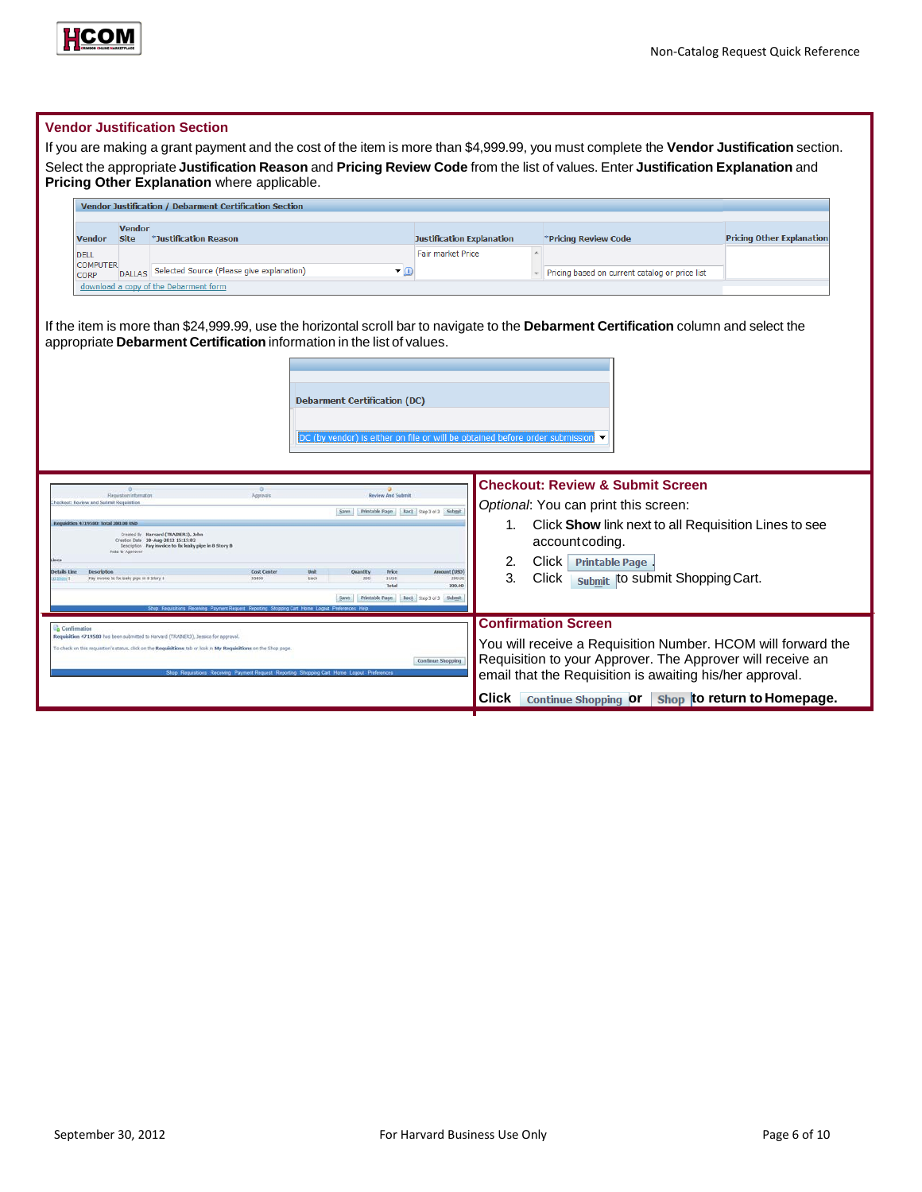![](_page_5_Picture_0.jpeg)

|                                                                     |                                            | <b>Vendor Justification / Debarment Certification Section</b>                                                                                                                                          |                                                                                 |                                                              |                                                                                                                                                                                                                      |                                  |
|---------------------------------------------------------------------|--------------------------------------------|--------------------------------------------------------------------------------------------------------------------------------------------------------------------------------------------------------|---------------------------------------------------------------------------------|--------------------------------------------------------------|----------------------------------------------------------------------------------------------------------------------------------------------------------------------------------------------------------------------|----------------------------------|
| <b>Vendor</b><br><b>DELL</b><br><b>COMPUTER</b>                     | <b>Vendor</b><br><b>Site</b>               | *Justification Reason                                                                                                                                                                                  |                                                                                 | <b>Justification Explanation</b><br><b>Fair market Price</b> | *Pricing Review Code                                                                                                                                                                                                 | <b>Pricing Other Explanation</b> |
| <b>CORP</b>                                                         |                                            | DALLAS Selected Source (Please give explanation)<br>download a copy of the Debarment form                                                                                                              | $\blacksquare$                                                                  |                                                              | Ficing based on current catalog or price list                                                                                                                                                                        |                                  |
|                                                                     |                                            |                                                                                                                                                                                                        | <b>Debarment Certification (DC)</b>                                             |                                                              |                                                                                                                                                                                                                      |                                  |
|                                                                     |                                            |                                                                                                                                                                                                        | DC (by vendor) is either on file or will be obtained before order submissior    |                                                              |                                                                                                                                                                                                                      |                                  |
|                                                                     | <b>Requisition Informatio</b>              | $\circ$                                                                                                                                                                                                | Review And Submit<br>Save Printable Fage Back Step 3 of 3 Submit                |                                                              | <b>Checkout: Review &amp; Submit Screen</b><br>Optional: You can print this screen:                                                                                                                                  |                                  |
| tion 4719540; Total 200.00 USD                                      | Figts to Approver                          | Created Br Harvard (TRADER1), John<br>Creator Date 20-Aug-2012 15:15:02<br>Description Pay invoice to fix leaky pipe in 8 Story B                                                                      |                                                                                 | 2.                                                           | 1. Click Show link next to all Requisition Lines to see<br>account coding.<br>Click Printable Page                                                                                                                   |                                  |
| Description                                                         | Pay invoice to for leaky pipe in 8 Story 8 | <b>Cost Center</b><br>\$5850                                                                                                                                                                           | <b>Quantity</b><br>3 USD<br>Total<br>Save Printable Fage Beck Sep 3 of 3 Submit | ant CUSD<br>3.<br>250.0<br>200.00                            | submit  to submit Shopping Cart.<br>Click                                                                                                                                                                            |                                  |
| sckear: Roview and Submit Requisiti<br>letalls tine<br>Confirmation |                                            | Requisition 4719580 has been submitted to Harvard (TRADIER3), Jessica for approval<br>To check on this requisition's status, click on the Requisitions tab or look in My Requisitions on the Shop page |                                                                                 | Continue Shopping                                            | <b>Confirmation Screen</b><br>You will receive a Requisition Number. HCOM will forward the<br>Requisition to your Approver. The Approver will receive an<br>email that the Requisition is awaiting his/her approval. |                                  |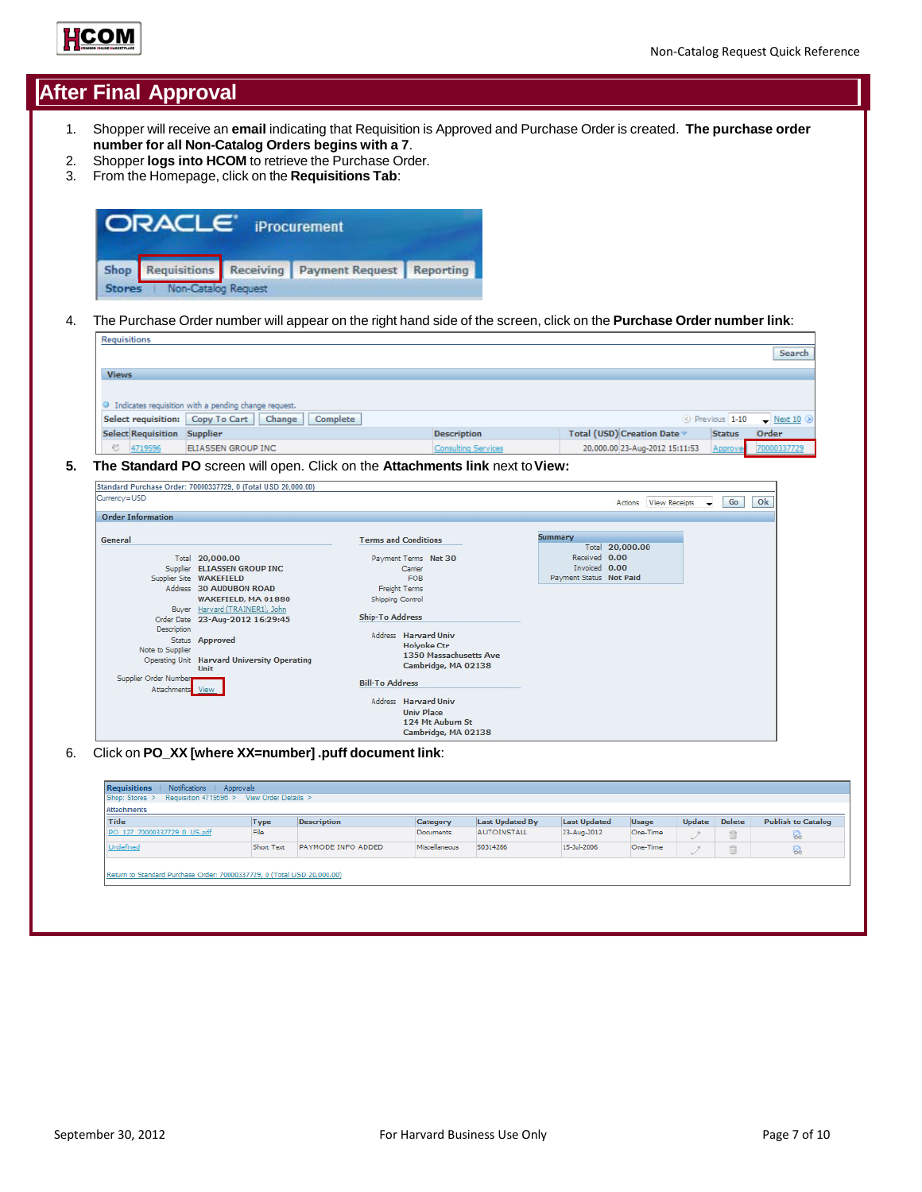![](_page_6_Picture_0.jpeg)

## **After Final Approval**

- 1. Shopper will receive an **email** indicating that Requisition is Approved and Purchase Order is created. **The purchase order number for all Non-Catalog Orders begins with a 7**.
- 2. Shopper **logs into HCOM** to retrieve the Purchase Order.<br>3. From the Homepage, click on the **Requisitions Tab**:
- 3. From the Homepage, click on the **Requisitions Tab**:

| <b>ORACLE</b> iProcurement   |                                                       |  |
|------------------------------|-------------------------------------------------------|--|
|                              | Shop Requisitions Receiving Payment Request Reporting |  |
| Stores   Non-Catalog Request |                                                       |  |

4. The Purchase Order number will appear on the right hand side of the screen, click on the **Purchase Order number link**:

|                                                                                                                          | Search               |
|--------------------------------------------------------------------------------------------------------------------------|----------------------|
| <b>Views</b>                                                                                                             |                      |
|                                                                                                                          |                      |
| <sup>3</sup> Indicates requisition with a pending change request.                                                        |                      |
| Select requisition: Copy To Cart   Change  <br>Complete<br>$\circledcirc$ Previous 1-10 $\bullet$ Next 10 $\circledcirc$ |                      |
| Total (USD) Creation Date ▼<br><b>Select Requisition Supplier</b><br><b>Description</b><br><b>Status</b>                 | Order                |
| € 4719596<br><b>Consulting Services</b><br>20,000.00 23-Aug-2012 15:11:53<br>ELIASSEN GROUP INC                          | Approve( 70000337729 |

## **5. The Standard PO** screen will open. Click on the **Attachments link** next to**View:**

| Currency=USD                                             |                                                                                                                                                                    |                                                                                                                                           | Ok<br>Go<br>Actions View Receipts<br>$\cdot$                 |
|----------------------------------------------------------|--------------------------------------------------------------------------------------------------------------------------------------------------------------------|-------------------------------------------------------------------------------------------------------------------------------------------|--------------------------------------------------------------|
| <b>Order Information</b>                                 |                                                                                                                                                                    |                                                                                                                                           |                                                              |
| General                                                  | Total 20,000.00<br>Supplier ELIASSEN GROUP INC                                                                                                                     | <b>Terms and Conditions</b><br>Payment Terms Net 30<br>Carrier                                                                            | Summary<br>Total 20,000.00<br>Received 0.00<br>Invoiced 0.00 |
|                                                          | Supplier Site WAKEFIELD<br>Address 30 AUDUBON ROAD                                                                                                                 | <b>FOB</b><br>Freight Terms                                                                                                               | Payment Status Not Paid                                      |
| Description<br>Note to Supplier<br>Supplier Order Number | WAKEFIELD, MA 01880<br>Buyer Harvard (TRAINER1), John<br>Order Date 23-Aug-2012 16:29:45<br>Status Approved<br>Operating Unit Harvard University Operating<br>Unit | Shipping Control<br><b>Ship-To Address</b><br>Address Harvard Univ<br><b>Holyoke Ctr</b><br>1350 Massachusetts Ave<br>Cambridge, MA 02138 |                                                              |
| Attachments View                                         |                                                                                                                                                                    | <b>Bill-To Address</b><br>Address Harvard Univ                                                                                            |                                                              |
|                                                          |                                                                                                                                                                    | <b>Univ Place</b><br>124 Mt Auburn St<br>Cambridge, MA 02138                                                                              |                                                              |

6. Click on **PO\_XX [where XX=number] .puff document link**:

| Notifications   Approvals<br><b>Requisitions</b><br>Requisition 4719596 > View Order Details ><br>Shop: Stores > |            |                    |               |                 |                     |              |               |               |                           |
|------------------------------------------------------------------------------------------------------------------|------------|--------------------|---------------|-----------------|---------------------|--------------|---------------|---------------|---------------------------|
| Attachments                                                                                                      |            |                    |               |                 |                     |              |               |               |                           |
| Title                                                                                                            | Type       | <b>Description</b> | Category      | Last Updated By | <b>Last Updated</b> | <b>Usage</b> | <b>Update</b> | <b>Delete</b> | <b>Publish to Catalog</b> |
| PO 127 70000337729 0 US.pdf                                                                                      | File       |                    | Documents     | AUTOINSTALL     | 23-Aug-2012         | One-Time     |               | t             | på.                       |
| Undefined                                                                                                        | Short Text | PAYMODE INFO ADDED | Miscellaneous | 50314286        | 15-Jul-2006         | One-Time     |               | û             | 귾                         |
| Return to Standard Purchase Order: 70000337729, 0 (Total USD 20,000.00)                                          |            |                    |               |                 |                     |              |               |               |                           |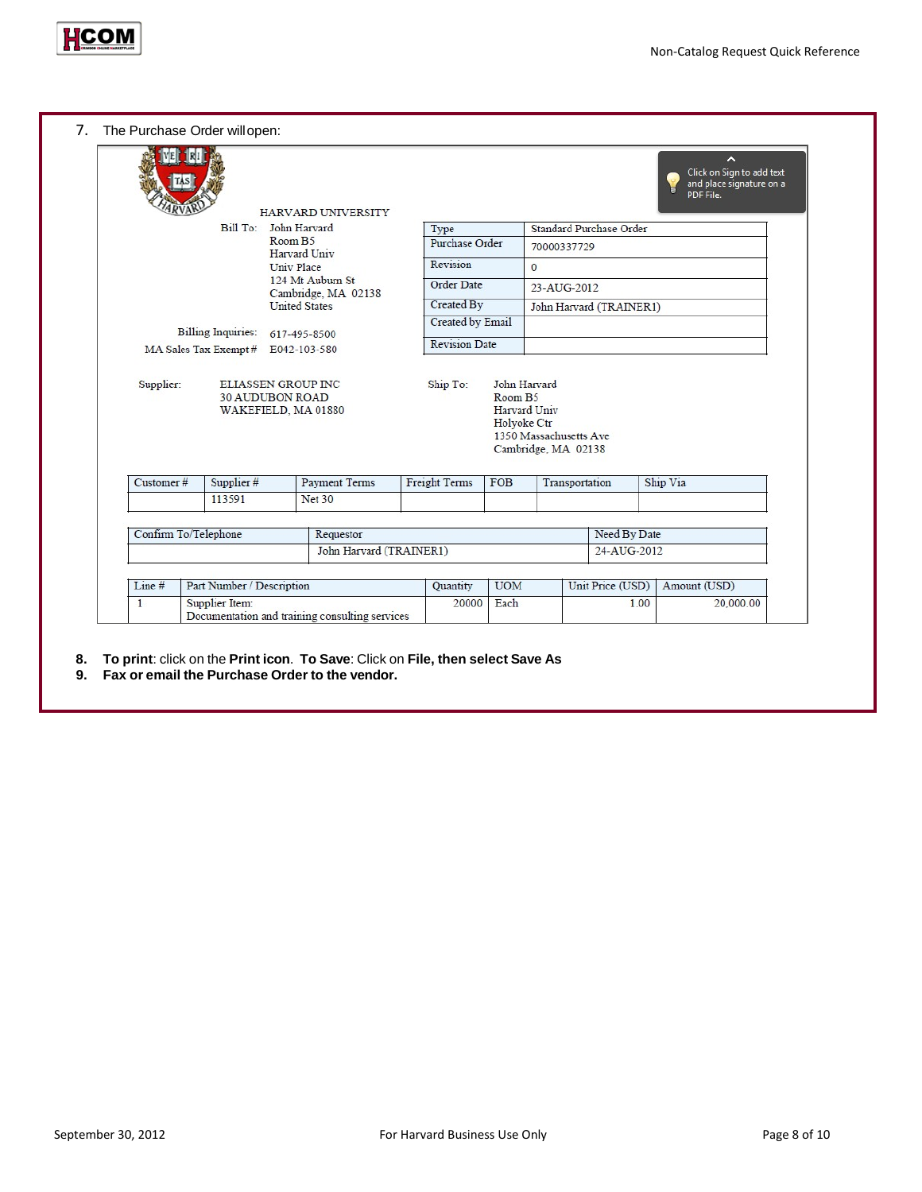![](_page_7_Picture_0.jpeg)

|                      |                                             |                         | HARVARD UNIVERSITY                      |                       |                    |                                                               |                          | ∼<br>Click on Sign to add text<br>and place signature on a<br>PDF File. |
|----------------------|---------------------------------------------|-------------------------|-----------------------------------------|-----------------------|--------------------|---------------------------------------------------------------|--------------------------|-------------------------------------------------------------------------|
|                      | Bill To:                                    | John Harvard            |                                         | Type                  |                    |                                                               | Standard Purchase Order  |                                                                         |
|                      |                                             | Room B5<br>Harvard Univ |                                         | <b>Purchase Order</b> |                    | 70000337729                                                   |                          |                                                                         |
|                      |                                             | <b>Univ Place</b>       |                                         | Revision              |                    | $\mathbf{0}$                                                  |                          |                                                                         |
|                      |                                             |                         | 124 Mt Auburn St<br>Cambridge, MA 02138 | Order Date            |                    | 23-AUG-2012                                                   |                          |                                                                         |
|                      |                                             | <b>United States</b>    |                                         | Created By            |                    |                                                               | John Harvard (TRAINER1)  |                                                                         |
|                      | <b>Billing Inquiries:</b>                   | 617-495-8500            |                                         | Created by Email      |                    |                                                               |                          |                                                                         |
|                      | MA Sales Tax Exempt # E042-103-580          |                         |                                         | <b>Revision Date</b>  |                    |                                                               |                          |                                                                         |
|                      | WAKEFIELD, MA 01880                         |                         |                                         |                       | Holvoke Ctr        | Harvard Univ<br>1350 Massachusetts Ave<br>Cambridge, MA 02138 |                          |                                                                         |
|                      | Supplier #                                  |                         | <b>Payment Terms</b>                    | <b>Freight Terms</b>  | FOB                | Transportation                                                |                          | Ship Via                                                                |
| Customer#            | 113591                                      |                         | <b>Net 30</b>                           |                       |                    |                                                               |                          |                                                                         |
|                      |                                             |                         |                                         |                       |                    |                                                               |                          |                                                                         |
| Confirm To/Telephone |                                             |                         | Requestor                               |                       |                    |                                                               | Need By Date             |                                                                         |
|                      |                                             |                         | John Harvard (TRAINER1)                 |                       |                    |                                                               | 24-AUG-2012              |                                                                         |
|                      |                                             |                         |                                         |                       |                    |                                                               |                          |                                                                         |
| Line #<br>1          | Part Number / Description<br>Supplier Item: |                         |                                         | Quantity<br>20000     | <b>UOM</b><br>Each |                                                               | Unit Price (USD)<br>1.00 | Amount (USD)<br>20,000.00                                               |

- **8. To print**: click on the **Print icon**. **To Save**: Click on **File, then select Save As**
- **9. Fax or email the Purchase Order to the vendor.**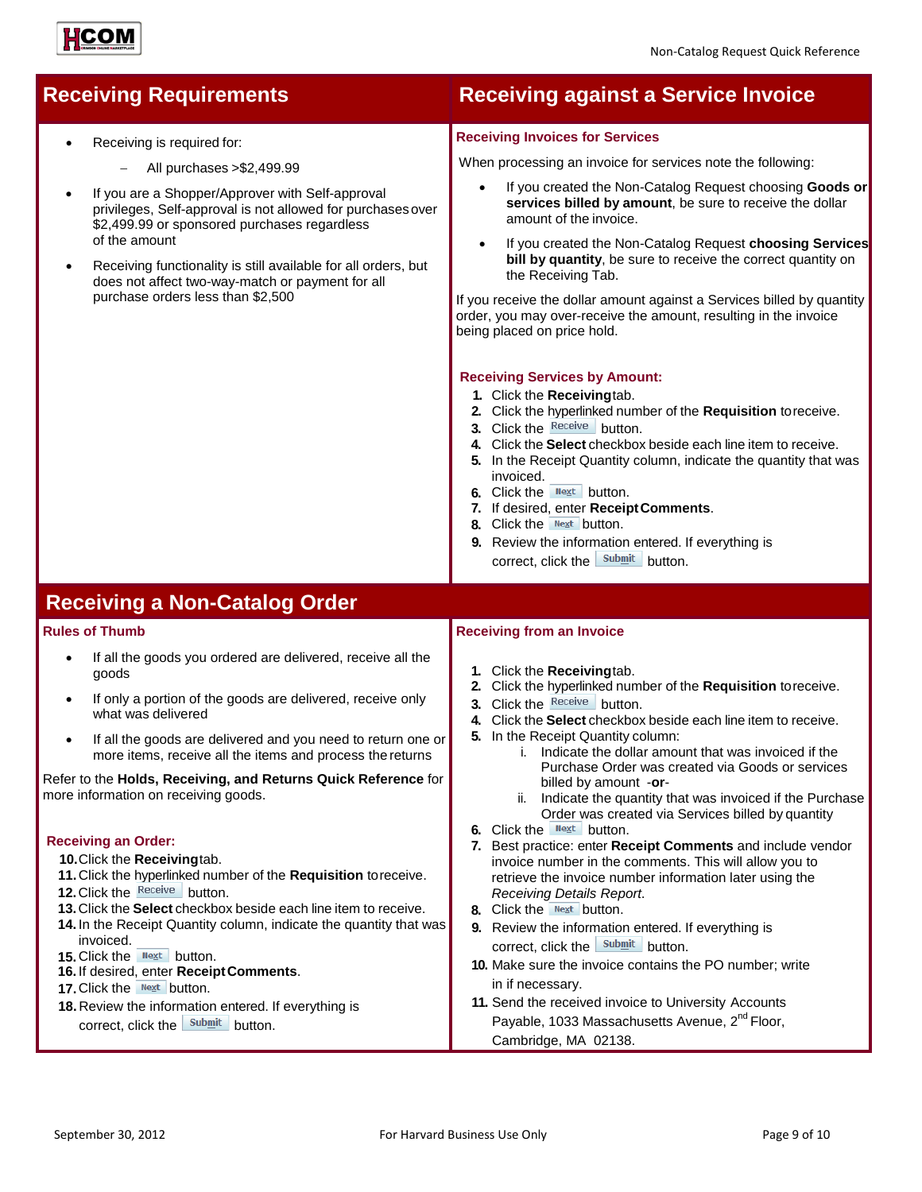- Receiving is required for:
	- − All purchases >\$2,499.99
- If you are a Shopper/Approver with Self-approval privileges, Self-approval is not allowed for purchasesover \$2,499.99 or sponsored purchases regardless of the amount
- Receiving functionality is still available for all orders, but does not affect two-way-match or payment for all purchase orders less than \$2,500

## **Receiving Requirements Receiving against a Service Invoice**

## **Receiving Invoices for Services**

When processing an invoice for services note the following:

- If you created the Non-Catalog Request choosing **Goods or services billed by amount**, be sure to receive the dollar amount of the invoice.
- If you created the Non-Catalog Request **choosing Services bill by quantity**, be sure to receive the correct quantity on the Receiving Tab.

If you receive the dollar amount against a Services billed by quantity order, you may over-receive the amount, resulting in the invoice being placed on price hold.

## **Receiving Services by Amount:**

- **1.** Click the **Receiving**tab.
- **2.** Click the hyperlinked number of the **Requisition** toreceive.
- **3.** Click the Receive button.
- **4.** Click the **Select** checkbox beside each line item to receive.
- **5.** In the Receipt Quantity column, indicate the quantity that was invoiced.
- **6.** Click the **Next** button.
- **7.** If desired, enter **ReceiptComments**.
- **8.** Click the Next button.
- **9.** Review the information entered. If everything is correct, click the submit button.

## **Receiving a Non-Catalog Order**

## **Rules of Thumb**

- If all the goods you ordered are delivered, receive all the goods
- If only a portion of the goods are delivered, receive only what was delivered
- If all the goods are delivered and you need to return one or more items, receive all the items and process the returns

Refer to the **Holds, Receiving, and Returns Quick Reference** for more information on receiving goods.

## **Receiving an Order:**

**10.**Click the **Receiving**tab.

- **11.**Click the hyperlinked number of the **Requisition** toreceive.
- **12.** Click the Receive button.
- **13.**Click the **Select** checkbox beside each line item to receive.
- **14.** In the Receipt Quantity column, indicate the quantity that was invoiced.
- **15.** Click the **Next** button.
- **16.** If desired, enter **ReceiptComments**.
- **17.** Click the Next button.
- **18.** Review the information entered. If everything is correct, click the submit button.

## **Receiving from an Invoice**

- **1.** Click the **Receiving**tab.
- **2.** Click the hyperlinked number of the **Requisition** toreceive.
- **3.** Click the Receive button.
- **4.** Click the **Select** checkbox beside each line item to receive.
- **5.** In the Receipt Quantity column:
	- i. Indicate the dollar amount that was invoiced if the Purchase Order was created via Goods or services billed by amount -**or**-
	- ii. Indicate the quantity that was invoiced if the Purchase Order was created via Services billed by quantity
- **6.** Click the Next button.
- **7.** Best practice: enter **Receipt Comments** and include vendor invoice number in the comments. This will allow you to retrieve the invoice number information later using the *Receiving Details Report*.
- **8.** Click the **Next** button.
- **9.** Review the information entered. If everything is correct, click the  $\frac{\text{Submit}}{\text{button}}$ .
- **10.** Make sure the invoice contains the PO number; write in if necessary.
- **11.** Send the received invoice to University Accounts Payable, 1033 Massachusetts Avenue, 2<sup>nd</sup> Floor. Cambridge, MA 02138.